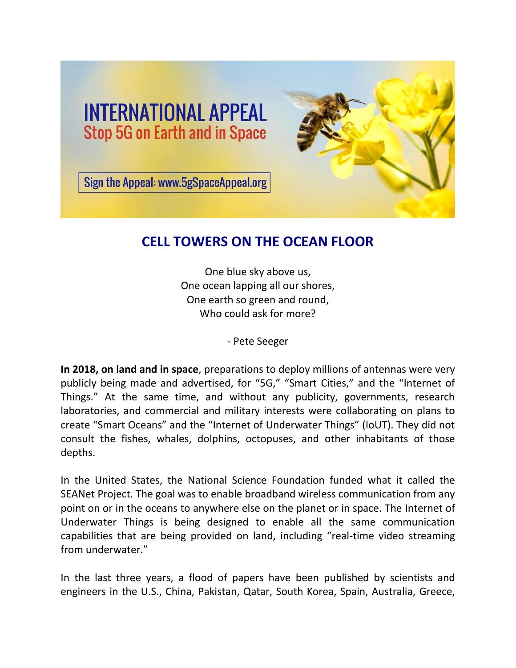



Sign the Appeal: www.5gSpaceAppeal.org

## **CELL TOWERS ON THE OCEAN FLOOR**

One blue sky above us, One ocean lapping all our shores, One earth so green and round, Who could ask for more?

- Pete Seeger

**In 2018, on land and in space**, preparations to deploy millions of antennas were very publicly being made and advertised, for "5G," "Smart Cities," and the "Internet of Things." At the same time, and without any publicity, governments, research laboratories, and commercial and military interests were collaborating on plans to create "Smart Oceans" and the "Internet of Underwater Things" (IoUT). They did not consult the fishes, whales, dolphins, octopuses, and other inhabitants of those depths.

In the United States, the National Science Foundation funded what it called the SEANet Project. The goal was to enable broadband wireless communication from any point on or in the oceans to anywhere else on the planet or in space. The Internet of Underwater Things is being designed to enable all the same communication capabilities that are being provided on land, including "real-time video streaming from underwater."

In the last three years, a flood of papers have been published by scientists and engineers in the U.S., China, Pakistan, Qatar, South Korea, Spain, Australia, Greece,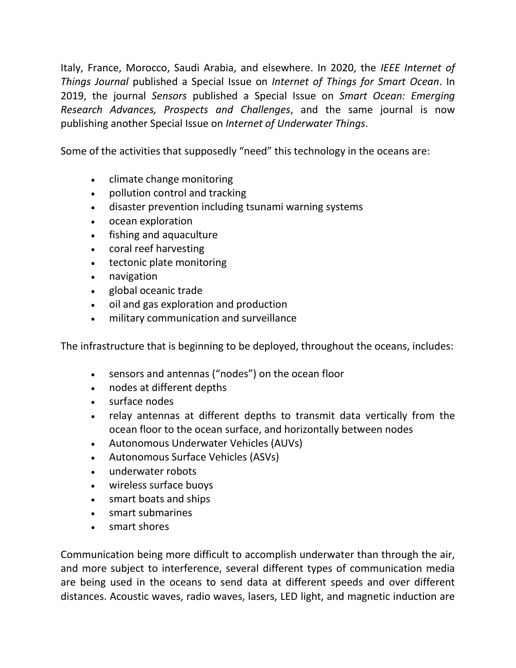Italy, France, Morocco, Saudi Arabia, and elsewhere. In 2020, the *IEEE Internet of Things Journal* published a Special Issue on *Internet of Things for Smart Ocean*. In 2019, the journal *Sensors* published a Special Issue on *Smart Ocean: Emerging Research Advances, Prospects and Challenges*, and the same journal is now publishing another Special Issue on *Internet of Underwater Things*.

Some of the activities that supposedly "need" this technology in the oceans are:

- climate change monitoring
- pollution control and tracking
- disaster prevention including tsunami warning systems
- ocean exploration
- fishing and aquaculture
- coral reef harvesting
- tectonic plate monitoring
- navigation
- global oceanic trade
- oil and gas exploration and production
- military communication and surveillance

The infrastructure that is beginning to be deployed, throughout the oceans, includes:

- sensors and antennas ("nodes") on the ocean floor
- nodes at different depths
- surface nodes
- relay antennas at different depths to transmit data vertically from the ocean floor to the ocean surface, and horizontally between nodes
- Autonomous Underwater Vehicles (AUVs)
- Autonomous Surface Vehicles (ASVs)
- underwater robots
- wireless surface buoys
- smart boats and ships
- smart submarines
- smart shores

Communication being more difficult to accomplish underwater than through the air, and more subject to interference, several different types of communication media are being used in the oceans to send data at different speeds and over different distances. Acoustic waves, radio waves, lasers, LED light, and magnetic induction are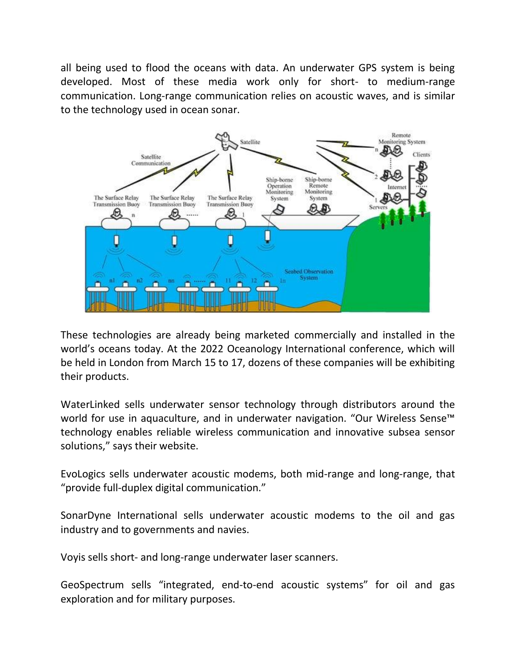all being used to flood the oceans with data. An underwater GPS system is being developed. Most of these media work only for short- to medium-range communication. Long-range communication relies on acoustic waves, and is similar to the technology used in ocean sonar.



These technologies are already being marketed commercially and installed in the world's oceans today. At the 2022 Oceanology International conference, which will be held in London from March 15 to 17, dozens of these companies will be exhibiting their products.

WaterLinked sells underwater sensor technology through distributors around the world for use in aquaculture, and in underwater navigation. "Our Wireless Sense™ technology enables reliable wireless communication and innovative subsea sensor solutions," says their website.

EvoLogics sells underwater acoustic modems, both mid-range and long-range, that "provide full-duplex digital communication."

SonarDyne International sells underwater acoustic modems to the oil and gas industry and to governments and navies.

Voyis sells short- and long-range underwater laser scanners.

GeoSpectrum sells "integrated, end-to-end acoustic systems" for oil and gas exploration and for military purposes.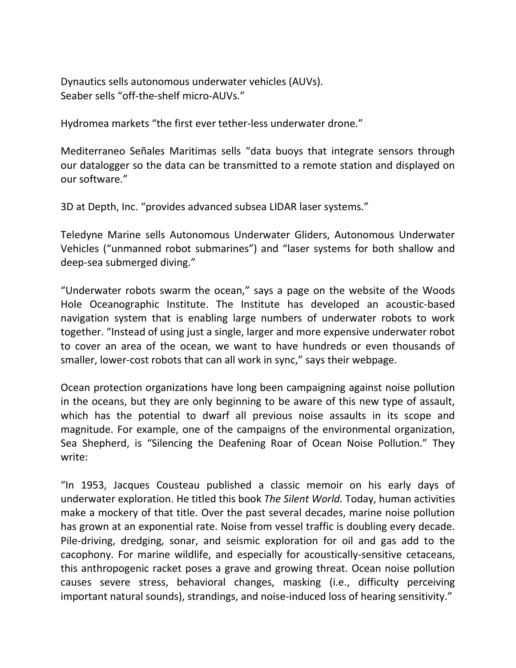Dynautics sells autonomous underwater vehicles (AUVs). Seaber sells "off-the-shelf micro-AUVs."

Hydromea markets "the first ever tether-less underwater drone."

Mediterraneo Señales Maritimas sells "data buoys that integrate sensors through our datalogger so the data can be transmitted to a remote station and displayed on our software."

3D at Depth, Inc. "provides advanced subsea LIDAR laser systems."

Teledyne Marine sells Autonomous Underwater Gliders, Autonomous Underwater Vehicles ("unmanned robot submarines") and "laser systems for both shallow and deep-sea submerged diving."

"Underwater robots swarm the ocean," says a page on the website of the Woods Hole Oceanographic Institute. The Institute has developed an acoustic-based navigation system that is enabling large numbers of underwater robots to work together. "Instead of using just a single, larger and more expensive underwater robot to cover an area of the ocean, we want to have hundreds or even thousands of smaller, lower-cost robots that can all work in sync," says their webpage.

Ocean protection organizations have long been campaigning against noise pollution in the oceans, but they are only beginning to be aware of this new type of assault, which has the potential to dwarf all previous noise assaults in its scope and magnitude. For example, one of the campaigns of the environmental organization, Sea Shepherd, is "Silencing the Deafening Roar of Ocean Noise Pollution." They write:

"In 1953, Jacques Cousteau published a classic memoir on his early days of underwater exploration. He titled this book *The Silent World.* Today, human activities make a mockery of that title. Over the past several decades, marine noise pollution has grown at an exponential rate. Noise from vessel traffic is doubling every decade. Pile-driving, dredging, sonar, and seismic exploration for oil and gas add to the cacophony. For marine wildlife, and especially for acoustically-sensitive cetaceans, this anthropogenic racket poses a grave and growing threat. Ocean noise pollution causes severe stress, behavioral changes, masking (i.e., difficulty perceiving important natural sounds), strandings, and noise-induced loss of hearing sensitivity."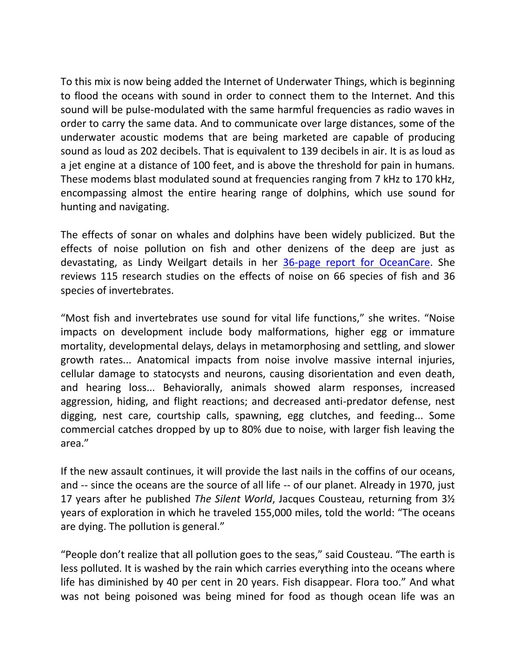To this mix is now being added the Internet of Underwater Things, which is beginning to flood the oceans with sound in order to connect them to the Internet. And this sound will be pulse-modulated with the same harmful frequencies as radio waves in order to carry the same data. And to communicate over large distances, some of the underwater acoustic modems that are being marketed are capable of producing sound as loud as 202 decibels. That is equivalent to 139 decibels in air. It is as loud as a jet engine at a distance of 100 feet, and is above the threshold for pain in humans. These modems blast modulated sound at frequencies ranging from 7 kHz to 170 kHz, encompassing almost the entire hearing range of dolphins, which use sound for hunting and navigating.

The effects of sonar on whales and dolphins have been widely publicized. But the effects of noise pollution on fish and other denizens of the deep are just as devastating, as Lindy Weilgart details in her [36-page report for OceanCare.](https://www.oceancare.org/wp-content/uploads/2017/10/OceanNoise_FishInvertebrates_May2018.pdf) She reviews 115 research studies on the effects of noise on 66 species of fish and 36 species of invertebrates.

"Most fish and invertebrates use sound for vital life functions," she writes. "Noise impacts on development include body malformations, higher egg or immature mortality, developmental delays, delays in metamorphosing and settling, and slower growth rates... Anatomical impacts from noise involve massive internal injuries, cellular damage to statocysts and neurons, causing disorientation and even death, and hearing loss... Behaviorally, animals showed alarm responses, increased aggression, hiding, and flight reactions; and decreased anti-predator defense, nest digging, nest care, courtship calls, spawning, egg clutches, and feeding... Some commercial catches dropped by up to 80% due to noise, with larger fish leaving the area."

If the new assault continues, it will provide the last nails in the coffins of our oceans, and -- since the oceans are the source of all life -- of our planet. Already in 1970, just 17 years after he published *The Silent World*, Jacques Cousteau, returning from 3½ years of exploration in which he traveled 155,000 miles, told the world: "The oceans are dying. The pollution is general."

"People don't realize that all pollution goes to the seas," said Cousteau. "The earth is less polluted. It is washed by the rain which carries everything into the oceans where life has diminished by 40 per cent in 20 years. Fish disappear. Flora too." And what was not being poisoned was being mined for food as though ocean life was an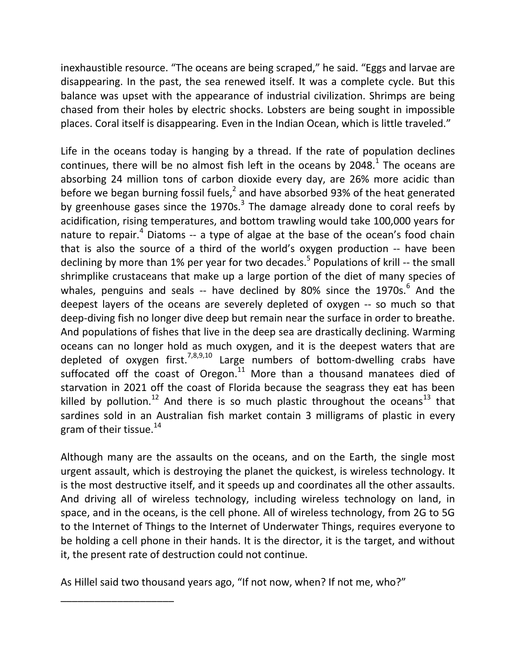inexhaustible resource. "The oceans are being scraped," he said. "Eggs and larvae are disappearing. In the past, the sea renewed itself. It was a complete cycle. But this balance was upset with the appearance of industrial civilization. Shrimps are being chased from their holes by electric shocks. Lobsters are being sought in impossible places. Coral itself is disappearing. Even in the Indian Ocean, which is little traveled."

Life in the oceans today is hanging by a thread. If the rate of population declines continues, there will be no almost fish left in the oceans by 2048. $^1$  The oceans are absorbing 24 million tons of carbon dioxide every day, are 26% more acidic than before we began burning fossil fuels,<sup>2</sup> and have absorbed 93% of the heat generated by greenhouse gases since the 1970s. $^3$  The damage already done to coral reefs by acidification, rising temperatures, and bottom trawling would take 100,000 years for nature to repair.<sup>4</sup> Diatoms -- a type of algae at the base of the ocean's food chain that is also the source of a third of the world's oxygen production -- have been declining by more than 1% per year for two decades.<sup>5</sup> Populations of krill -- the small shrimplike crustaceans that make up a large portion of the diet of many species of whales, penguins and seals -- have declined by 80% since the 1970s.<sup>6</sup> And the deepest layers of the oceans are severely depleted of oxygen -- so much so that deep-diving fish no longer dive deep but remain near the surface in order to breathe. And populations of fishes that live in the deep sea are drastically declining. Warming oceans can no longer hold as much oxygen, and it is the deepest waters that are depleted of oxygen first.<sup>7,8,9,10</sup> Large numbers of bottom-dwelling crabs have suffocated off the coast of Oregon. $^{11}$  More than a thousand manatees died of starvation in 2021 off the coast of Florida because the seagrass they eat has been killed by pollution.<sup>12</sup> And there is so much plastic throughout the oceans<sup>13</sup> that sardines sold in an Australian fish market contain 3 milligrams of plastic in every gram of their tissue. $^{14}$ 

Although many are the assaults on the oceans, and on the Earth, the single most urgent assault, which is destroying the planet the quickest, is wireless technology. It is the most destructive itself, and it speeds up and coordinates all the other assaults. And driving all of wireless technology, including wireless technology on land, in space, and in the oceans, is the cell phone. All of wireless technology, from 2G to 5G to the Internet of Things to the Internet of Underwater Things, requires everyone to be holding a cell phone in their hands. It is the director, it is the target, and without it, the present rate of destruction could not continue.

As Hillel said two thousand years ago, "If not now, when? If not me, who?"

\_\_\_\_\_\_\_\_\_\_\_\_\_\_\_\_\_\_\_\_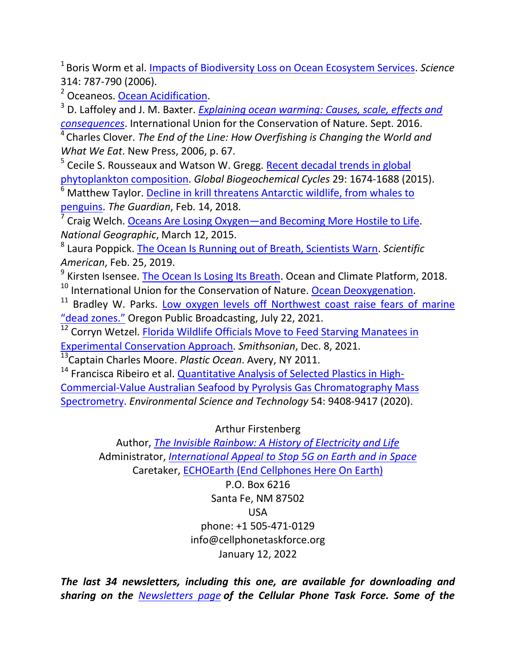1 Boris Worm et al. [Impacts of Biodiversity Loss on Ocean Ecosystem Services.](https://www.science.org/doi/10.1126/science.1132294) *Science* 314: 787-790 (2006).

<sup>2</sup> Oceaneos. [Ocean Acidification.](https://www.oceaneos.org/state-of-our-oceans/acidification/)

3 D. Laffoley and J. M. Baxter. *[Explaining ocean warming: Causes, scale, effects and](https://www.iucn.org/news/marine-and-polar/201609/explaining-ocean-warming-causes-scale-effects-and-consequences)  [consequences](https://www.iucn.org/news/marine-and-polar/201609/explaining-ocean-warming-causes-scale-effects-and-consequences)*. International Union for the Conservation of Nature. Sept. 2016.

<sup>4</sup>Charles Clover. *The End of the Line: How Overfishing is Changing the World and What We Eat*. New Press, 2006, p. 67.

<sup>5</sup> Cecile S. Rousseaux and Watson W. Gregg. **Recent decadal trends in global** [phytoplankton composition.](https://agupubs.onlinelibrary.wiley.com/doi/pdfdirect/10.1002/2015GB005139) *Global Biogeochemical Cycles* 29: 1674-1688 (2015).

<sup>6</sup> Matthew Taylor. Decline in krill threatens Antarctic wildlife, from whales to [penguins.](https://www.theguardian.com/environment/2018/feb/14/decline-in-krill-threatens-antarctic-wildlife-from-whales-to-penguins) *The Guardian*, Feb. 14, 2018.

7 Craig Welch. Oceans Are Losing Oxygen—[and Becoming More Hostile to Life.](https://www.nationalgeographic.com/science/article/150313-oceans-marine-life-climate-change-acidification-oxygen-fish) *National Geographic*, March 12, 2015.

8 Laura Poppick. [The Ocean Is Running out of Breath, Scientists Warn.](https://www.scientificamerican.com/article/the-ocean-is-running-out-of-breath-scientists-warn/#:~:text=Escaping%20predators%2C%20digestion%20and%20other,those%20of%20humans%E2%80%94require%20oxygen.&text=Oxygen%20levels%20in%20some%20tropical,years%2C%20so) *Scientific American*, Feb. 25, 2019.

<sup>9</sup> Kirsten Isensee. The Ocean Is Losing Its Breath</u>. Ocean and Climate Platform, 2018.

<sup>10</sup> International Union for the Conservation of Nature. [Ocean Deoxygenation.](https://www.iucn.org/theme/marine-and-polar/our-work/climate-change-and-oceans/ocean-deoxygenation)

<sup>11</sup> Bradley W. Parks. Low oxygen levels off Northwest coast raise fears of marine ["dead zones](https://www.opb.org/article/2021/07/22/hypoxia-season-oregon-dead-zones-crab/)." Oregon Public Broadcasting, July 22, 2021.

<sup>12</sup> Corryn Wetzel. **Florida Wildlife Officials Move to Feed Starving Manatees in** 

[Experimental Conservation Approach.](https://www.smithsonianmag.com/smart-news/florida-wildlife-officials-move-to-feed-starving-manatees-180979184/) *Smithsonian*, Dec. 8, 2021.

13 Captain Charles Moore. *Plastic Ocean*. Avery, NY 2011.

<sup>14</sup> Francisca Ribeiro et al. **[Quantitative Analysis of Selected Plastics in High-](https://pubs.acs.org/doi/pdf/10.1021/acs.est.0c02337)**[Commercial-Value Australian Seafood by Pyrolysis Gas Chromatography Mass](https://pubs.acs.org/doi/pdf/10.1021/acs.est.0c02337)  [Spectrometry.](https://pubs.acs.org/doi/pdf/10.1021/acs.est.0c02337) *Environmental Science and Technology* 54: 9408-9417 (2020).

Arthur Firstenberg

Author, *[The Invisible Rainbow: A History of Electricity and Life](https://www.chelseagreen.com/product/the-invisible-rainbow/)* Administrator, *International Appeal [to Stop 5G on Earth and in Space](https://www.5gspaceappeal.org/)* Caretaker, ECHOEarth (End Cellphones Here On Earth)

> P.O. Box 6216 Santa Fe, NM 87502 USA phone: +1 505-471-0129 info@cellphonetaskforce.org January 12, 2022

*The last 34 newsletters, including this one, are available for downloading and sharing on the [Newsletters page](https://www.cellphonetaskforce.org/newsletters/) of the Cellular Phone Task Force. Some of the*